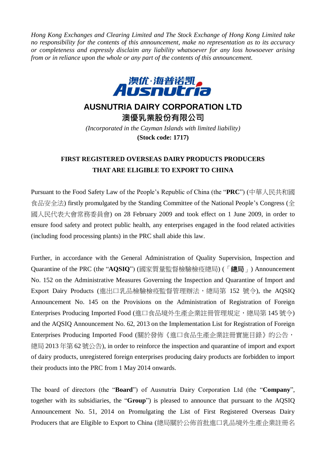*Hong Kong Exchanges and Clearing Limited and The Stock Exchange of Hong Kong Limited take no responsibility for the contents of this announcement, make no representation as to its accuracy or completeness and expressly disclaim any liability whatsoever for any loss howsoever arising from or in reliance upon the whole or any part of the contents of this announcement.*



## **AUSNUTRIA DAIRY CORPORATION LTD**

**澳優乳業股份有限公司** *(Incorporated in the Cayman Islands with limited liability)* **(Stock code: 1717)**

## **FIRST REGISTERED OVERSEAS DAIRY PRODUCTS PRODUCERS THAT ARE ELIGIBLE TO EXPORT TO CHINA**

Pursuant to the Food Safety Law of the People's Republic of China (the "**PRC**") (中華人民共和國 食品安全法) firstly promulgated by the Standing Committee of the National People's Congress (全 國人民代表大會常務委員會) on 28 February 2009 and took effect on 1 June 2009, in order to ensure food safety and protect public health, any enterprises engaged in the food related activities (including food processing plants) in the PRC shall abide this law.

Further, in accordance with the General Administration of Quality Supervision, Inspection and Quarantine of the PRC (the "**AQSIQ**") (國家質量監督檢驗檢疫總局) (「總局」) Announcement No. 152 on the Administrative Measures Governing the Inspection and Quarantine of Import and Export Dairy Products (進出口乳品檢驗檢疫監督管理辦法,總局第 152 號令), the AQSIQ Announcement No. 145 on the Provisions on the Administration of Registration of Foreign Enterprises Producing Imported Food (進口食品境外生產企業註冊管理規定,總局第 145 號令) and the AQSIQ Announcement No. 62, 2013 on the Implementation List for Registration of Foreign Enterprises Producing Imported Food (關於發佈《進口食品生產企業註冊實施目錄》的公告, 總局 2013 年第 62 號公告), in order to reinforce the inspection and quarantine of import and export of dairy products, unregistered foreign enterprises producing dairy products are forbidden to import their products into the PRC from 1 May 2014 onwards.

The board of directors (the "**Board**") of Ausnutria Dairy Corporation Ltd (the "**Company**", together with its subsidiaries, the "**Group**") is pleased to announce that pursuant to the AQSIQ Announcement No. 51, 2014 on Promulgating the List of First Registered Overseas Dairy Producers that are Eligible to Export to China (總局關於公佈首批進口乳品境外生產企業註冊名